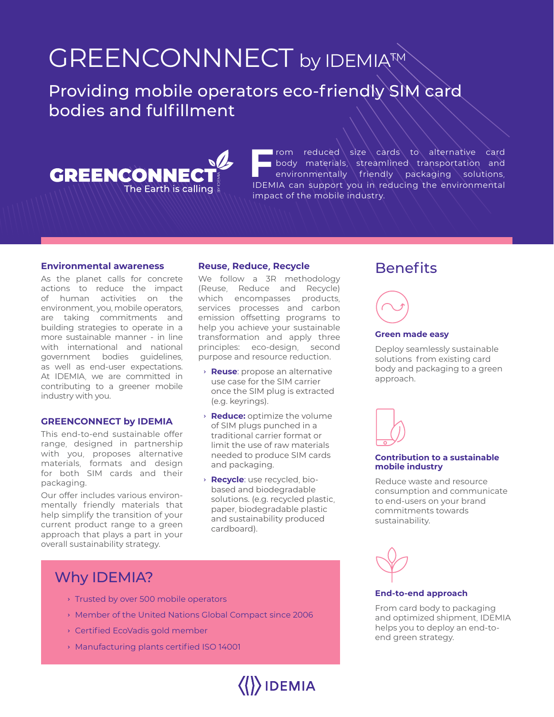## GREENCONNNECT by IDEMIATM

Providing mobile operators eco-friendly SIM card bodies and fulfillment



**F F F F LIGHTER CONSTRANT CONSTRANT CONSTRANT CONSTRANT CONSUMINGLY CONSUMING CONSUMING CONSUMING A POSITION CONSUMING A POSITION CONSUMER CONSUMER CONSUMER CONSUMER CONSUMER CONSUMER CONSUMER CONSUMER CONSUMER CONSUMER C** body materials, streamlined transportation and environmentally friendly packaging solutions, IDEMIA can support you in reducing the environmental impact of the mobile industry.

### **Environmental awareness**

As the planet calls for concrete actions to reduce the impact of human activities on the environment, you, mobile operators, are taking commitments and building strategies to operate in a more sustainable manner - in line with international and national government bodies guidelines, as well as end-user expectations. At IDEMIA, we are committed in contributing to a greener mobile industry with you.

### **GREENCONNECT by IDEMIA**

This end-to-end sustainable offer range, designed in partnership with you, proposes alternative materials, formats and design for both SIM cards and their packaging.

Our offer includes various environmentally friendly materials that help simplify the transition of your current product range to a green approach that plays a part in your overall sustainability strategy.

### **Reuse, Reduce, Recycle**

We follow a 3R methodology (Reuse, Reduce and Recycle) which encompasses products, services processes and carbon emission offsetting programs to help you achieve your sustainable transformation and apply three principles: eco-design, second purpose and resource reduction.

- › **Reuse**: propose an alternative use case for the SIM carrier once the SIM plug is extracted (e.g. keyrings).
- › **Reduce:** optimize the volume of SIM plugs punched in a traditional carrier format or limit the use of raw materials needed to produce SIM cards and packaging.
- › **Recycle**: use recycled, biobased and biodegradable solutions. (e.g. recycled plastic, paper, biodegradable plastic and sustainability produced cardboard).

### Why IDEMIA?

- › Trusted by over 500 mobile operators
- › Member of the United Nations Global Compact since 2006
- › Certified EcoVadis gold member
- › Manufacturing plants certified ISO 14001



### **Benefits**

## 

### **Green made easy**

Deploy seamlessly sustainable solutions from existing card body and packaging to a green approach.



#### **Contribution to a sustainable mobile industry**

Reduce waste and resource consumption and communicate to end-users on your brand commitments towards sustainability.



#### **End-to-end approach**

From card body to packaging and optimized shipment, IDEMIA helps you to deploy an end-toend green strategy.